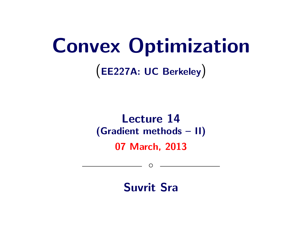# Convex Optimization

(EE227A: UC Berkeley)

### Lecture 14 (Gradient methods – II) 07 March, 2013

Suvrit Sra

◦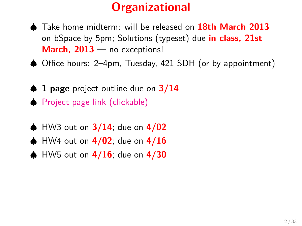## **Organizational**

- ♠ Take home midterm: will be released on 18th March 2013 on bSpace by 5pm; Solutions (typeset) due in class, 21st March, 2013 — no exceptions!
- ♠ Office hours: 2–4pm, Tuesday, 421 SDH (or by appointment)
- $\spadesuit$  1 page project outline due on  $3/14$ ♠ [Project page link \(clickable\)](http://people.kyb.tuebingen.mpg.de/suvrit/teach/ee227a/projects.html)
- $\spadesuit$  HW3 out on  $3/14$ ; due on  $4/02$
- $\spadesuit$  HW4 out on  $4/02$ ; due on  $4/16$
- $\spadesuit$  HW5 out on  $4/16$ ; due on  $4/30$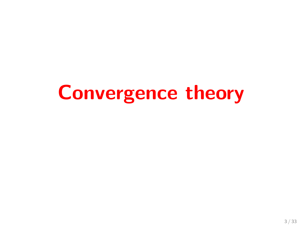# Convergence theory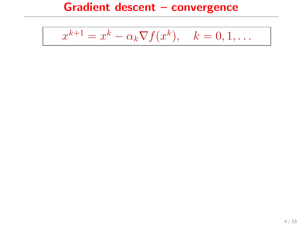$$
x^{k+1} = x^k - \alpha_k \nabla f(x^k), \quad k = 0, 1, \dots
$$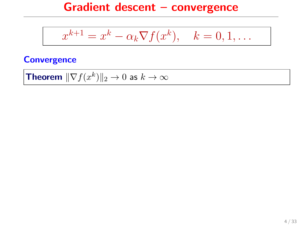$$
x^{k+1} = x^k - \alpha_k \nabla f(x^k), \quad k = 0, 1, \dots
$$

#### **Convergence**

**Theorem** 
$$
\|\nabla f(x^k)\|_2 \to 0
$$
 as  $k \to \infty$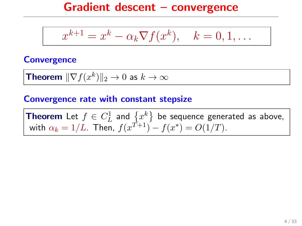$$
x^{k+1} = x^k - \alpha_k \nabla f(x^k), \quad k = 0, 1, \dots
$$

#### **Convergence**

**Theorem** 
$$
\|\nabla f(x^k)\|_2 \to 0
$$
 as  $k \to \infty$ 

#### Convergence rate with constant stepsize

**Theorem** Let  $f \in C_L^1$  and  $\{x^k\}$  be sequence generated as above, with  $\alpha_k = 1/L$ . Then,  $f(x^{T+1}) - f(x^*) = O(1/T)$ .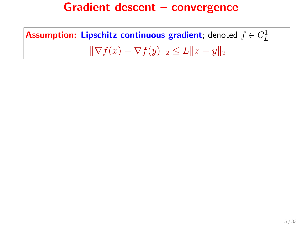Assumption: Lipschitz continuous gradient; denoted  $f\in C^1_L$  $\|\nabla f(x) - \nabla f(y)\|_2 \leq L\|x - y\|_2$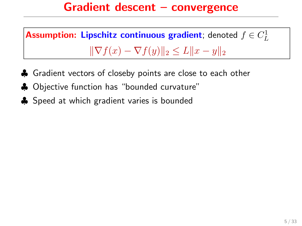Assumption: Lipschitz continuous gradient; denoted  $f\in C^1_L$  $\|\nabla f(x) - \nabla f(y)\|_2 \leq L \|x - y\|_2$ 

- ♣ Gradient vectors of closeby points are close to each other
- ♣ Objective function has "bounded curvature"
- **♦** Speed at which gradient varies is bounded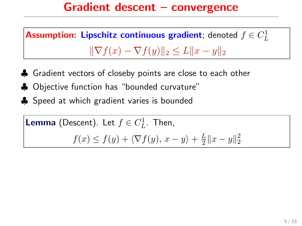Assumption: Lipschitz continuous gradient; denoted  $f\in C^1_L$  $\|\nabla f(x) - \nabla f(y)\|_2 \leq L \|x - y\|_2$ 

- ♣ Gradient vectors of closeby points are close to each other
- ♣ Objective function has "bounded curvature"
- **♦** Speed at which gradient varies is bounded

**Lemma** (Descent). Let 
$$
f \in C_L^1
$$
. Then,  
 $f(x) \le f(y) + \langle \nabla f(y), x - y \rangle + \frac{L}{2} ||x - y||_2^2$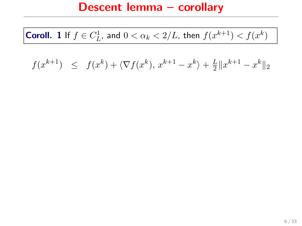**Coroll.** 1 If  $f \in C^1_L$ , and  $0 < \alpha_k < 2/L$ , then  $f(x^{k+1}) < f(x^k)$ 

 $f(x^{k+1}) \leq f(x^k) + \langle \nabla f(x^k), x^{k+1} - x^k \rangle + \frac{L}{2}$  $\frac{L}{2} \|x^{k+1} - x^k\|_2$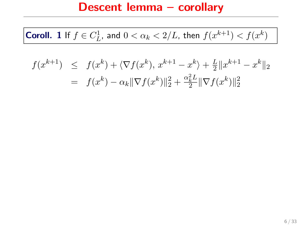**Coroll.** 1 If  $f \in C^1_L$ , and  $0 < \alpha_k < 2/L$ , then  $f(x^{k+1}) < f(x^k)$ 

$$
f(x^{k+1}) \leq f(x^k) + \langle \nabla f(x^k), x^{k+1} - x^k \rangle + \frac{L}{2} ||x^{k+1} - x^k||_2
$$
  
=  $f(x^k) - \alpha_k ||\nabla f(x^k)||_2^2 + \frac{\alpha_k^2 L}{2} ||\nabla f(x^k)||_2^2$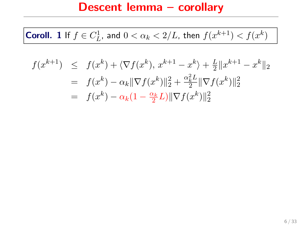**Coroll.** 1 If  $f \in C^1_L$ , and  $0 < \alpha_k < 2/L$ , then  $f(x^{k+1}) < f(x^k)$ 

$$
f(x^{k+1}) \leq f(x^k) + \langle \nabla f(x^k), x^{k+1} - x^k \rangle + \frac{L}{2} ||x^{k+1} - x^k||_2
$$
  
=  $f(x^k) - \alpha_k ||\nabla f(x^k)||_2^2 + \frac{\alpha_k^2 L}{2} ||\nabla f(x^k)||_2^2$   
=  $f(x^k) - \alpha_k (1 - \frac{\alpha_k}{2} L) ||\nabla f(x^k)||_2^2$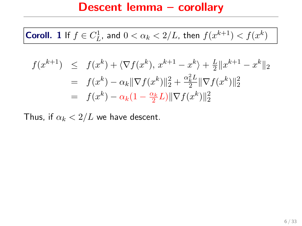**Coroll.** 1 If  $f \in C^1_L$ , and  $0 < \alpha_k < 2/L$ , then  $f(x^{k+1}) < f(x^k)$ 

$$
f(x^{k+1}) \leq f(x^k) + \langle \nabla f(x^k), x^{k+1} - x^k \rangle + \frac{L}{2} ||x^{k+1} - x^k||_2
$$
  
=  $f(x^k) - \alpha_k ||\nabla f(x^k)||_2^2 + \frac{\alpha_k^2 L}{2} ||\nabla f(x^k)||_2^2$   
=  $f(x^k) - \alpha_k (1 - \frac{\alpha_k}{2} L) ||\nabla f(x^k)||_2^2$ 

Thus, if  $\alpha_k < 2/L$  we have descent.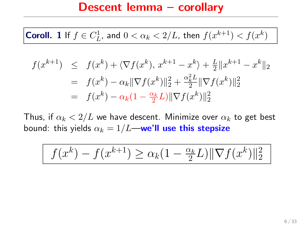**Coroll.** 1 If  $f \in C^1_L$ , and  $0 < \alpha_k < 2/L$ , then  $f(x^{k+1}) < f(x^k)$ 

$$
f(x^{k+1}) \leq f(x^k) + \langle \nabla f(x^k), x^{k+1} - x^k \rangle + \frac{L}{2} ||x^{k+1} - x^k||_2
$$
  
=  $f(x^k) - \alpha_k ||\nabla f(x^k)||_2^2 + \frac{\alpha_k^2 L}{2} ||\nabla f(x^k)||_2^2$   
=  $f(x^k) - \alpha_k (1 - \frac{\alpha_k}{2} L) ||\nabla f(x^k)||_2^2$ 

Thus, if  $\alpha_k < 2/L$  we have descent. Minimize over  $\alpha_k$  to get best bound: this yields  $\alpha_k = 1/L$ —we'll use this stepsize

$$
f(x^{k}) - f(x^{k+1}) \ge \alpha_k (1 - \frac{\alpha_k}{2}L) \|\nabla f(x^k)\|_2^2
$$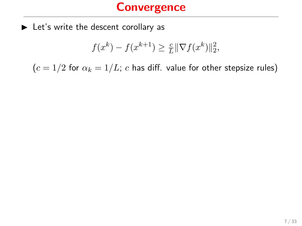$\blacktriangleright$  Let's write the descent corollary as

$$
f(x^k) - f(x^{k+1}) \ge \frac{c}{L} \|\nabla f(x^k)\|_2^2,
$$

 $(c = 1/2$  for  $\alpha_k = 1/L$ ; c has diff. value for other stepsize rules)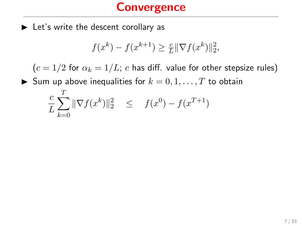$\blacktriangleright$  Let's write the descent corollary as

 $\sigma$ 

$$
f(x^k) - f(x^{k+1}) \ge \frac{c}{L} \|\nabla f(x^k)\|_2^2,
$$

 $(c = 1/2$  for  $\alpha_k = 1/L$ ; c has diff. value for other stepsize rules)

Sum up above inequalities for  $k = 0, 1, \ldots, T$  to obtain

$$
\frac{c}{L} \sum_{k=0}^{I} \|\nabla f(x^k)\|_2^2 \leq f(x^0) - f(x^{T+1})
$$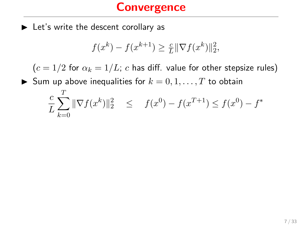$\blacktriangleright$  Let's write the descent corollary as

 $\sim$ 

$$
f(x^k) - f(x^{k+1}) \ge \frac{c}{L} \|\nabla f(x^k)\|_2^2,
$$

 $(c = 1/2$  for  $\alpha_k = 1/L$ ; c has diff. value for other stepsize rules)

Sum up above inequalities for  $k = 0, 1, \ldots, T$  to obtain

$$
\frac{c}{L} \sum_{k=0}^{T} \|\nabla f(x^k)\|_2^2 \leq f(x^0) - f(x^{T+1}) \leq f(x^0) - f^*
$$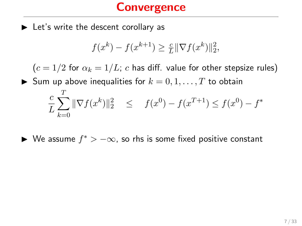$\blacktriangleright$  Let's write the descent corollary as

$$
f(x^k) - f(x^{k+1}) \ge \frac{c}{L} \|\nabla f(x^k)\|_2^2,
$$

 $(c = 1/2$  for  $\alpha_k = 1/L$ ; c has diff. value for other stepsize rules)

Sum up above inequalities for  $k = 0, 1, ..., T$  to obtain c L  $\sum$ T  $_{k=0}$  $\|\nabla f(x^k)\|_2^2 \leq f(x^0) - f(x^{T+1}) \leq f(x^0) - f^*$ 

► We assume  $f^*$  >  $-\infty$ , so rhs is some fixed positive constant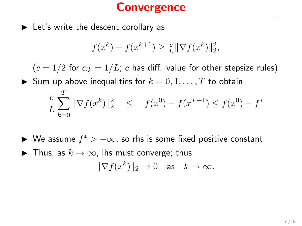$\blacktriangleright$  Let's write the descent corollary as

$$
f(x^k) - f(x^{k+1}) \ge \frac{c}{L} \|\nabla f(x^k)\|_2^2,
$$

 $(c = 1/2$  for  $\alpha_k = 1/L$ ; c has diff. value for other stepsize rules) Sum up above inequalities for  $k = 0, 1, \ldots, T$  to obtain

$$
\frac{c}{L} \sum_{k=0}^{T} \|\nabla f(x^k)\|_2^2 \leq f(x^0) - f(x^{T+1}) \leq f(x^0) - f^*
$$

- ► We assume  $f^*$  >  $-\infty$ , so rhs is some fixed positive constant
- $\blacktriangleright$  Thus, as  $k \to \infty$ , lhs must converge; thus  $\|\nabla f(x^k)\|_2 \to 0 \text{ as } k \to \infty.$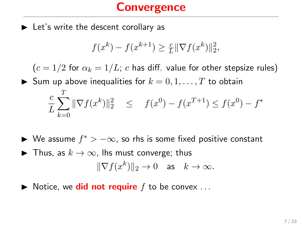$\blacktriangleright$  Let's write the descent corollary as

$$
f(x^k) - f(x^{k+1}) \ge \frac{c}{L} \|\nabla f(x^k)\|_2^2,
$$

 $(c = 1/2$  for  $\alpha_k = 1/L$ ; c has diff. value for other stepsize rules) Sum up above inequalities for  $k = 0, 1, \ldots, T$  to obtain

$$
\frac{c}{L} \sum_{k=0}^{T} \|\nabla f(x^k)\|_2^2 \leq f(x^0) - f(x^{T+1}) \leq f(x^0) - f^*
$$

- ► We assume  $f^*$  >  $-\infty$ , so rhs is some fixed positive constant
- ▶ Thus, as  $k \to \infty$ , lhs must converge; thus  $\|\nabla f(x^k)\|_2 \to 0 \text{ as } k \to \infty.$
- $\blacktriangleright$  Notice, we **did not require** f to be convex ...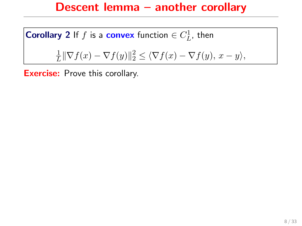#### Descent lemma – another corollary

**Corollary 2** If f is a **convex** function  $\in C_L^1$ , then

$$
\frac{1}{L} \|\nabla f(x) - \nabla f(y)\|_2^2 \le \langle \nabla f(x) - \nabla f(y), x - y \rangle,
$$

**Exercise:** Prove this corollary.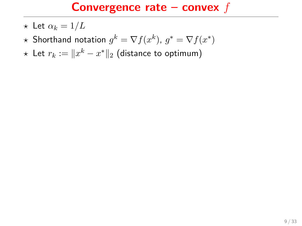- $\star$  Let  $\alpha_k = 1/L$
- $\star$  Shorthand notation  $g^k = \nabla f(x^k)$ ,  $g^* = \nabla f(x^*)$
- ★ Let  $r_k := \|x^k x^*\|_2$  (distance to optimum)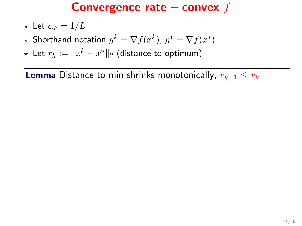- $\star$  Let  $\alpha_k = 1/L$
- $\star$  Shorthand notation  $g^k = \nabla f(x^k)$ ,  $g^* = \nabla f(x^*)$
- ★ Let  $r_k := \|x^k x^*\|_2$  (distance to optimum)

**Lemma** Distance to min shrinks monotonically;  $r_{k+1} \leq r_k$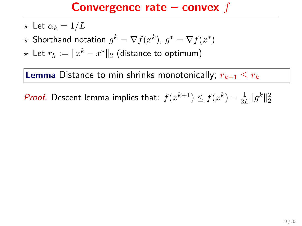- $\star$  Let  $\alpha_k = 1/L$
- $\star$  Shorthand notation  $g^k = \nabla f(x^k)$ ,  $g^* = \nabla f(x^*)$
- ★ Let  $r_k := \|x^k x^*\|_2$  (distance to optimum)

**Lemma** Distance to min shrinks monotonically;  $r_{k+1} \leq r_k$ 

*Proof.* Descent lemma implies that:  $f(x^{k+1}) \le f(x^k) - \frac{1}{2l}$  $\frac{1}{2L} \|g^k\|_2^2$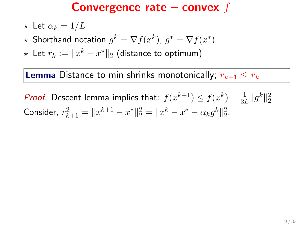- $\star$  Let  $\alpha_k = 1/L$
- $\star$  Shorthand notation  $g^k = \nabla f(x^k)$ ,  $g^* = \nabla f(x^*)$
- ★ Let  $r_k := \|x^k x^*\|_2$  (distance to optimum)

**Lemma** Distance to min shrinks monotonically;  $r_{k+1} < r_k$ 

*Proof.* Descent lemma implies that:  $f(x^{k+1}) \le f(x^k) - \frac{1}{2l}$  $\frac{1}{2L} \|g^k\|_2^2$ Consider,  $r_{k+1}^2 = ||x^{k+1} - x^*||_2^2 = ||x^k - x^* - \alpha_k g^k||_2^2$ .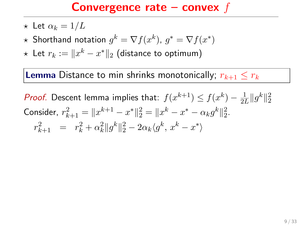- $\star$  Let  $\alpha_k = 1/L$
- $\star$  Shorthand notation  $g^k = \nabla f(x^k)$ ,  $g^* = \nabla f(x^*)$
- ★ Let  $r_k := \|x^k x^*\|_2$  (distance to optimum)

**Lemma** Distance to min shrinks monotonically;  $r_{k+1} < r_k$ 

*Proof.* Descent lemma implies that:  $f(x^{k+1}) \le f(x^k) - \frac{1}{2l}$  $\frac{1}{2L} \|g^k\|_2^2$ Consider,  $r_{k+1}^2 = ||x^{k+1} - x^*||_2^2 = ||x^k - x^* - \alpha_k g^k||_2^2$ .  $r_{k+1}^2 = r_k^2 + \alpha_k^2 \|g^k\|_2^2 - 2\alpha_k \langle g^k, x^k - x^* \rangle$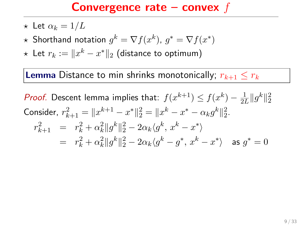- $\star$  Let  $\alpha_k = 1/L$
- $\star$  Shorthand notation  $g^k = \nabla f(x^k)$ ,  $g^* = \nabla f(x^*)$
- ★ Let  $r_k := \|x^k x^*\|_2$  (distance to optimum)

**Lemma** Distance to min shrinks monotonically;  $r_{k+1} \leq r_k$ 

*Proof.* Descent lemma implies that:  $f(x^{k+1}) \le f(x^k) - \frac{1}{2l}$  $\frac{1}{2L} \|g^k\|_2^2$ Consider,  $r_{k+1}^2 = ||x^{k+1} - x^*||_2^2 = ||x^k - x^* - \alpha_k g^k||_2^2$ .  $r_{k+1}^2 = r_k^2 + \alpha_k^2 \|g^k\|_2^2 - 2\alpha_k \langle g^k, x^k - x^* \rangle$  $= r_k^2 + \alpha_k^2 \|g^k\|_2^2 - 2\alpha_k \langle g^k - g^*, x^k - x^* \rangle$  as  $g^* = 0$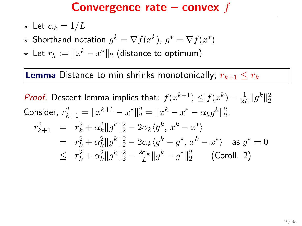- $\star$  Let  $\alpha_k = 1/L$
- $\star$  Shorthand notation  $g^k = \nabla f(x^k)$ ,  $g^* = \nabla f(x^*)$
- ★ Let  $r_k := \|x^k x^*\|_2$  (distance to optimum)

**Lemma** Distance to min shrinks monotonically;  $r_{k+1} < r_k$ 

*Proof.* Descent lemma implies that:  $f(x^{k+1}) \le f(x^k) - \frac{1}{2l}$  $\frac{1}{2L} \|g^k\|_2^2$ Consider,  $r_{k+1}^2 = ||x^{k+1} - x^*||_2^2 = ||x^k - x^* - \alpha_k g^k||_2^2$ .  $r_{k+1}^2 = r_k^2 + \alpha_k^2 \|g^k\|_2^2 - 2\alpha_k \langle g^k, x^k - x^* \rangle$  $= r_k^2 + \alpha_k^2 \|g^k\|_2^2 - 2\alpha_k \langle g^k - g^*, x^k - x^* \rangle$  as  $g^* = 0$  $\leq r_k^2 + \alpha_k^2 \|g^k\|_2^2 - \frac{2\alpha_k}{L} \|g^k - g^*\|_2^2$  (Coroll. 2)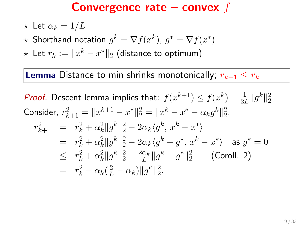- $\star$  Let  $\alpha_k = 1/L$
- $\star$  Shorthand notation  $g^k = \nabla f(x^k)$ ,  $g^* = \nabla f(x^*)$
- ★ Let  $r_k := \|x^k x^*\|_2$  (distance to optimum)

**Lemma** Distance to min shrinks monotonically;  $r_{k+1} \leq r_k$ 

*Proof.* Descent lemma implies that:  $f(x^{k+1}) \le f(x^k) - \frac{1}{2l}$  $\frac{1}{2L} \|g^k\|_2^2$ Consider,  $r_{k+1}^2 = ||x^{k+1} - x^*||_2^2 = ||x^k - x^* - \alpha_k g^k||_2^2$ .  $r_{k+1}^2 = r_k^2 + \alpha_k^2 \|g^k\|_2^2 - 2\alpha_k \langle g^k, x^k - x^* \rangle$  $= r_k^2 + \alpha_k^2 \|g^k\|_2^2 - 2\alpha_k \langle g^k - g^*, x^k - x^* \rangle$  as  $g^* = 0$  $\leq r_k^2 + \alpha_k^2 \|g^k\|_2^2 - \frac{2\alpha_k}{L} \|g^k - g^*\|_2^2$  (Coroll. 2)  $= r_k^2 - \alpha_k(\frac{2}{L} - \alpha_k) \|g^k\|_2^2.$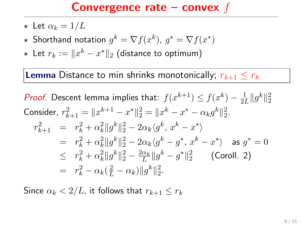- $\star$  Let  $\alpha_k = 1/L$
- $\star$  Shorthand notation  $g^k = \nabla f(x^k)$ ,  $g^* = \nabla f(x^*)$
- ★ Let  $r_k := \|x^k x^*\|_2$  (distance to optimum)

**Lemma** Distance to min shrinks monotonically;  $r_{k+1} \leq r_k$ 

*Proof.* Descent lemma implies that:  $f(x^{k+1}) \le f(x^k) - \frac{1}{2l}$  $\frac{1}{2L} \|g^k\|_2^2$ Consider,  $r_{k+1}^2 = ||x^{k+1} - x^*||_2^2 = ||x^k - x^* - \alpha_k g^k||_2^2$ .  $r_{k+1}^2 = r_k^2 + \alpha_k^2 \|g^k\|_2^2 - 2\alpha_k \langle g^k, x^k - x^* \rangle$  $= r_k^2 + \alpha_k^2 \|g^k\|_2^2 - 2\alpha_k \langle g^k - g^*, x^k - x^* \rangle$  as  $g^* = 0$  $\leq r_k^2 + \alpha_k^2 \|g^k\|_2^2 - \frac{2\alpha_k}{L} \|g^k - g^*\|_2^2$  (Coroll. 2)  $= r_k^2 - \alpha_k(\frac{2}{L} - \alpha_k) \|g^k\|_2^2.$ 

Since  $\alpha_k < 2/L$ , it follows that  $r_{k+1} \leq r_k$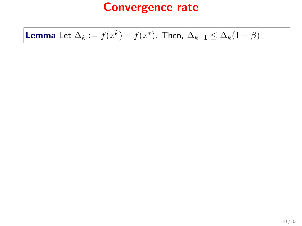# **Lemma** Let  $\Delta_k := f(x^k) - f(x^*)$ . Then,  $\Delta_{k+1} \leq \Delta_k(1-\beta)$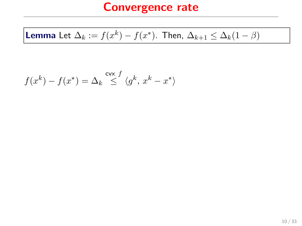## **Lemma** Let  $\Delta_k := f(x^k) - f(x^*)$ . Then,  $\Delta_{k+1} \leq \Delta_k(1-\beta)$

$$
f(x^k) - f(x^*) = \Delta_k \stackrel{\text{cvx } f}{\leq} \langle g^k, x^k - x^* \rangle
$$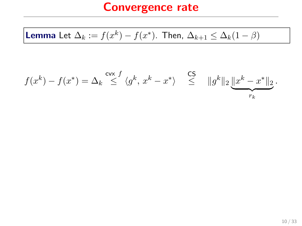**Lemma** Let 
$$
\Delta_k := f(x^k) - f(x^*)
$$
. Then,  $\Delta_{k+1} \leq \Delta_k (1 - \beta)$ 

$$
f(x^k) - f(x^*) = \Delta_k \stackrel{\mathsf{cvx}}{\leq} \langle g^k, x^k - x^* \rangle \quad \stackrel{\mathsf{CS}}{\leq} \quad \|g^k\|_2 \underbrace{\|x^k - x^*\|_2}_{r_k}.
$$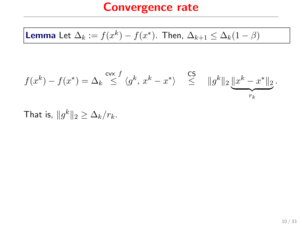**Lemma** Let 
$$
\Delta_k := f(x^k) - f(x^*)
$$
. Then,  $\Delta_{k+1} \leq \Delta_k (1 - \beta)$ 

$$
f(x^k) - f(x^*) = \Delta_k \stackrel{\mathsf{cvx}}{\leq} \langle g^k, x^k - x^* \rangle \stackrel{\mathsf{CS}}{\leq} ||g^k||_2 \underbrace{||x^k - x^*||_2}_{r_k}.
$$

That is,  $||g^k||_2 \geq \Delta_k/r_k$ .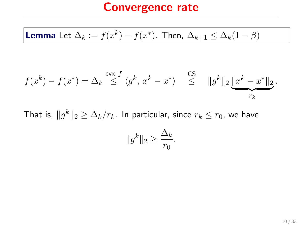**Lemma** Let 
$$
\Delta_k := f(x^k) - f(x^*)
$$
. Then,  $\Delta_{k+1} \leq \Delta_k (1 - \beta)$ 

$$
f(x^k) - f(x^*) = \Delta_k \stackrel{\mathsf{cvx}}{\leq} \langle g^k, x^k - x^* \rangle \stackrel{\mathsf{CS}}{\leq} ||g^k||_2 \underbrace{||x^k - x^*||_2}_{r_k}.
$$

That is,  $\|g^k\|_2 \geq \Delta_k/r_k$ . In particular, since  $r_k \leq r_0$ , we have  $||g^k||_2 \geq$  $\Delta_k$  $\frac{-\kappa}{r_0}$ .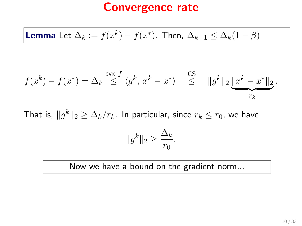**Lemma** Let 
$$
\Delta_k := f(x^k) - f(x^*)
$$
. Then,  $\Delta_{k+1} \leq \Delta_k (1 - \beta)$ 

$$
f(x^k) - f(x^*) = \Delta_k \stackrel{\mathsf{cvx}}{\leq} \langle g^k, x^k - x^* \rangle \stackrel{\mathsf{CS}}{\leq} ||g^k||_2 \underbrace{||x^k - x^*||_2}_{r_k}.
$$

That is,  $\|g^k\|_2 \geq \Delta_k/r_k$ . In particular, since  $r_k \leq r_0$ , we have  $||g^k||_2 \geq$  $\Delta_k$  $\frac{-\kappa}{r_0}$ .

Now we have a bound on the gradient norm...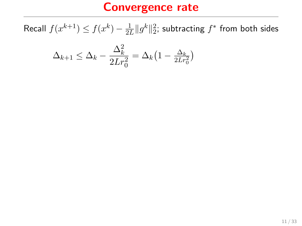Recall  $f(x^{k+1}) \leq f(x^k) - \frac{1}{2l}$  $\frac{1}{2L}\|g^k\|_2^2$ ; subtracting  $f^*$  from both sides

$$
\Delta_{k+1} \le \Delta_k - \frac{\Delta_k^2}{2Lr_0^2} = \Delta_k \left(1 - \frac{\Delta_k}{2Lr_0^2}\right)
$$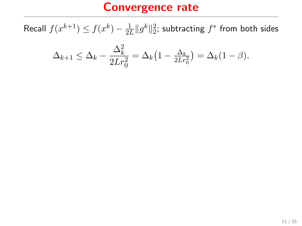Recall  $f(x^{k+1}) \leq f(x^k) - \frac{1}{2l}$  $\frac{1}{2L}\|g^k\|_2^2$ ; subtracting  $f^*$  from both sides

$$
\Delta_{k+1} \leq \Delta_k - \frac{\Delta_k^2}{2Lr_0^2} = \Delta_k \left(1 - \frac{\Delta_k}{2Lr_0^2}\right) = \Delta_k (1 - \beta).
$$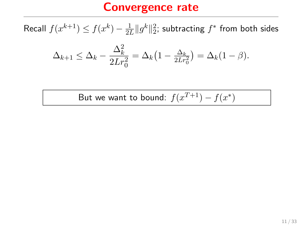Recall  $f(x^{k+1}) \leq f(x^k) - \frac{1}{2l}$  $\frac{1}{2L}\|g^k\|_2^2$ ; subtracting  $f^*$  from both sides

$$
\Delta_{k+1} \leq \Delta_k - \frac{\Delta_k^2}{2Lr_0^2} = \Delta_k \left(1 - \frac{\Delta_k}{2Lr_0^2}\right) = \Delta_k (1 - \beta).
$$

But we want to bound:  $f(x^{T+1}) - f(x^*)$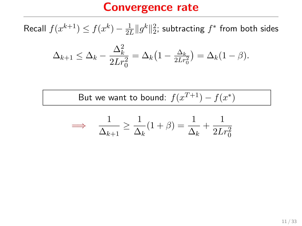Recall  $f(x^{k+1}) \leq f(x^k) - \frac{1}{2l}$  $\frac{1}{2L}\|g^k\|_2^2$ ; subtracting  $f^*$  from both sides

$$
\Delta_{k+1} \leq \Delta_k - \frac{\Delta_k^2}{2Lr_0^2} = \Delta_k \left(1 - \frac{\Delta_k}{2Lr_0^2}\right) = \Delta_k (1 - \beta).
$$

But we want to bound:  $f(x^{T+1}) - f(x^*)$ 

$$
\implies \frac{1}{\Delta_{k+1}} \ge \frac{1}{\Delta_k}(1+\beta) = \frac{1}{\Delta_k} + \frac{1}{2Lr_0^2}
$$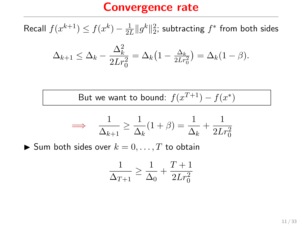Recall  $f(x^{k+1}) \leq f(x^k) - \frac{1}{2l}$  $\frac{1}{2L}\|g^k\|_2^2$ ; subtracting  $f^*$  from both sides

$$
\Delta_{k+1} \leq \Delta_k - \frac{\Delta_k^2}{2Lr_0^2} = \Delta_k \left(1 - \frac{\Delta_k}{2Lr_0^2}\right) = \Delta_k (1 - \beta).
$$

But we want to bound:  $f(x^{T+1}) - f(x^*)$ 

$$
\implies \frac{1}{\Delta_{k+1}} \ge \frac{1}{\Delta_k} (1+\beta) = \frac{1}{\Delta_k} + \frac{1}{2Lr_0^2}
$$

 $\blacktriangleright$  Sum both sides over  $k = 0, \ldots, T$  to obtain

$$
\frac{1}{\Delta_{T+1}} \ge \frac{1}{\Delta_0} + \frac{T+1}{2Lr_0^2}
$$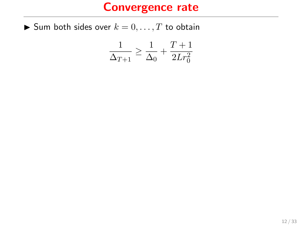$\blacktriangleright$  Sum both sides over  $k = 0, \ldots, T$  to obtain

$$
\frac{1}{\Delta_{T+1}} \ge \frac{1}{\Delta_0} + \frac{T+1}{2Lr_0^2}
$$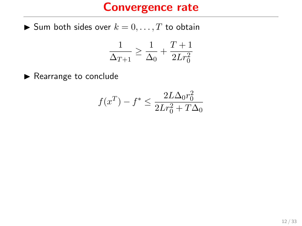$\blacktriangleright$  Sum both sides over  $k = 0, \ldots, T$  to obtain

$$
\frac{1}{\Delta_{T+1}}\geq \frac{1}{\Delta_0}+\frac{T+1}{2Lr_0^2}
$$

 $\blacktriangleright$  Rearrange to conclude

$$
f(x^{T}) - f^* \le \frac{2L\Delta_0 r_0^2}{2Lr_0^2 + T\Delta_0}
$$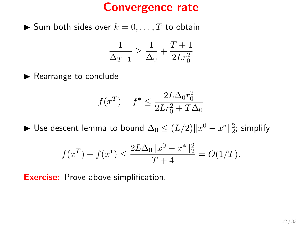$\blacktriangleright$  Sum both sides over  $k = 0, \ldots, T$  to obtain

$$
\frac{1}{\Delta_{T+1}} \ge \frac{1}{\Delta_0} + \frac{T+1}{2Lr_0^2}
$$

 $\blacktriangleright$  Rearrange to conclude

$$
f(x^{T}) - f^* \le \frac{2L\Delta_0 r_0^2}{2Lr_0^2 + T\Delta_0}
$$

► Use descent lemma to bound  $\Delta_0 \leq (L/2) \|x^0 - x^*\|_2^2$ ; simplify

$$
f(x^{T}) - f(x^{*}) \le \frac{2L\Delta_{0}||x^{0} - x^{*}||_{2}^{2}}{T+4} = O(1/T).
$$

**Exercise:** Prove above simplification.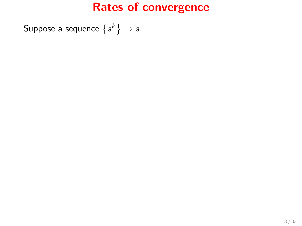Suppose a sequence  $\left\{s^k\right\} \to s.$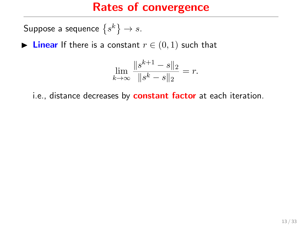Suppose a sequence  $\left\{s^k\right\} \to s.$ 

► Linear If there is a constant  $r \in (0,1)$  such that

$$
\lim_{k \to \infty} \frac{\|s^{k+1} - s\|_2}{\|s^k - s\|_2} = r.
$$

i.e., distance decreases by **constant factor** at each iteration.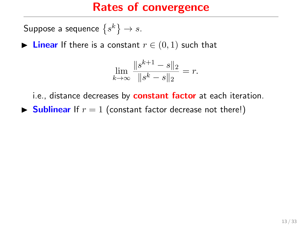Suppose a sequence  $\left\{s^k\right\} \to s.$ 

► Linear If there is a constant  $r \in (0,1)$  such that

$$
\lim_{k \to \infty} \frac{\|s^{k+1} - s\|_2}{\|s^k - s\|_2} = r.
$$

i.e., distance decreases by **constant factor** at each iteration.

 $\triangleright$  **Sublinear** If  $r = 1$  (constant factor decrease not there!)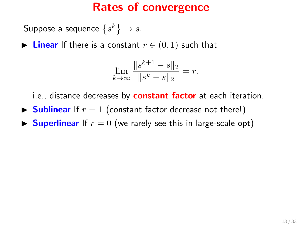Suppose a sequence  $\left\{s^k\right\} \to s.$ 

► Linear If there is a constant  $r \in (0,1)$  such that

$$
\lim_{k \to \infty} \frac{\|s^{k+1} - s\|_2}{\|s^k - s\|_2} = r.
$$

i.e., distance decreases by **constant factor** at each iteration.

- $\triangleright$  **Sublinear** If  $r = 1$  (constant factor decrease not there!)
- **IF Superlinear** If  $r = 0$  (we rarely see this in large-scale opt)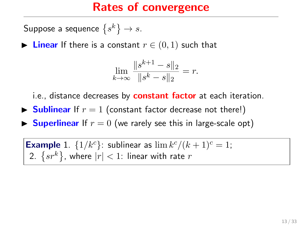Suppose a sequence  $\left\{s^k\right\} \to s.$ 

► Linear If there is a constant  $r \in (0,1)$  such that

$$
\lim_{k \to \infty} \frac{\|s^{k+1} - s\|_2}{\|s^k - s\|_2} = r.
$$

i.e., distance decreases by **constant factor** at each iteration.

- $\triangleright$  **Sublinear** If  $r = 1$  (constant factor decrease not there!)
- **In Superlinear** If  $r = 0$  (we rarely see this in large-scale opt)

**Example 1.**  $\{1/k^c\}$ : sublinear as  $\lim k^c/(k+1)^c = 1$ ; 2.  $\left\{sr^k\right\}$ , where  $|r| < 1$ : linear with rate  $r$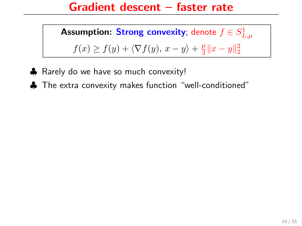#### Gradient descent – faster rate

**Assumption: Strong convexity**; denote  $f \in S_{L,\mu}^1$  $f(x) \ge f(y) + \langle \nabla f(y), x - y \rangle + \frac{\mu}{2}$  $\frac{\mu}{2} \|x - y\|_2^2$ 

- ♣ Rarely do we have so much convexity!
- ♣ The extra convexity makes function "well-conditioned"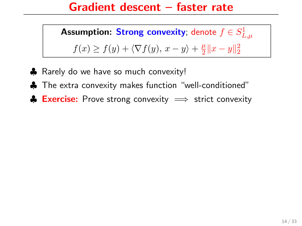#### Gradient descent – faster rate

**Assumption: Strong convexity**; denote  $f \in S_{L,\mu}^1$  $f(x) \ge f(y) + \langle \nabla f(y), x - y \rangle + \frac{\mu}{2}$  $\frac{\mu}{2} \|x - y\|_2^2$ 

- ♣ Rarely do we have so much convexity!
- ♣ The extra convexity makes function "well-conditioned"
- $\triangle$  Exercise: Prove strong convexity  $\implies$  strict convexity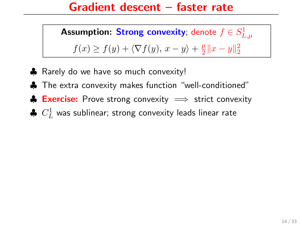#### Gradient descent – faster rate

**Assumption: Strong convexity**; denote  $f \in S_{L,\mu}^1$  $f(x) \ge f(y) + \langle \nabla f(y), x - y \rangle + \frac{\mu}{2}$  $\frac{\mu}{2} \|x - y\|_2^2$ 

- ♣ Rarely do we have so much convexity!
- ♣ The extra convexity makes function "well-conditioned"
- $\triangle$  Exercise: Prove strong convexity  $\implies$  strict convexity
- $\clubsuit~C_L^1$  was sublinear; strong convexity leads linear rate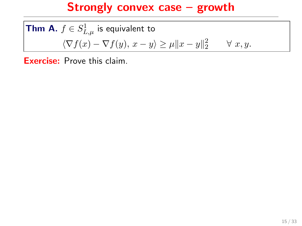**Thm A.**  $f \in S_{L,\mu}^1$  is equivalent to  $\langle \nabla f(x) - \nabla f(y), x - y \rangle \ge \mu \|x - y\|_2^2 \quad \forall x, y.$ 

Exercise: Prove this claim.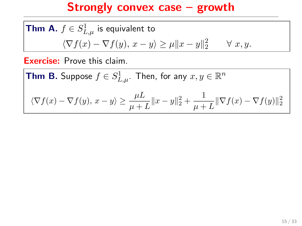**Thm A.** 
$$
f \in S^1_{L,\mu}
$$
 is equivalent to  
\n $\langle \nabla f(x) - \nabla f(y), x - y \rangle \ge \mu ||x - y||_2^2 \quad \forall x, y.$ 

Exercise: Prove this claim.

**Thm B.** Suppose  $f \in S^1_{L,\mu}$ . Then, for any  $x,y \in \mathbb{R}^n$ 

$$
\langle \nabla f(x) - \nabla f(y), x - y \rangle \ge \frac{\mu L}{\mu + L} \|x - y\|_2^2 + \frac{1}{\mu + L} \|\nabla f(x) - \nabla f(y)\|_2^2
$$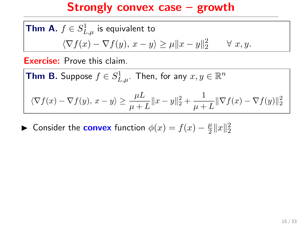**Thm A.** 
$$
f \in S^1_{L,\mu}
$$
 is equivalent to  
\n $\langle \nabla f(x) - \nabla f(y), x - y \rangle \ge \mu ||x - y||_2^2 \quad \forall x, y.$ 

Exercise: Prove this claim.

**Thm B.** Suppose  $f \in S^1_{L,\mu}$ . Then, for any  $x,y \in \mathbb{R}^n$ 

$$
\langle \nabla f(x) - \nabla f(y), x - y \rangle \ge \frac{\mu L}{\mu + L} ||x - y||_2^2 + \frac{1}{\mu + L} ||\nabla f(x) - \nabla f(y)||_2^2
$$

► Consider the **convex** function  $\phi(x) = f(x) - \frac{\mu}{2}$  $\frac{\mu}{2}||x||_2^2$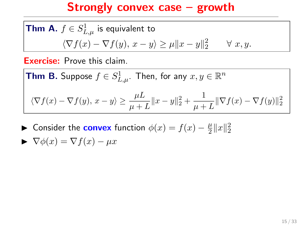**Thm A.** 
$$
f \in S^1_{L,\mu}
$$
 is equivalent to  
\n $\langle \nabla f(x) - \nabla f(y), x - y \rangle \ge \mu ||x - y||_2^2 \quad \forall x, y.$ 

Exercise: Prove this claim.

**Thm B.** Suppose  $f \in S^1_{L,\mu}$ . Then, for any  $x,y \in \mathbb{R}^n$  $\langle \nabla f(x) - \nabla f(y), x - y \rangle \ge \frac{\mu L}{\mu + L} ||x - y||_2^2 + \frac{1}{\mu + L}$  $\frac{1}{\mu+L} \|\nabla f(x) - \nabla f(y)\|_2^2$ 

► Consider the **convex** function  $\phi(x) = f(x) - \frac{\mu}{2}$  $\frac{\mu}{2}||x||_2^2$ 

$$
\blacktriangleright \nabla \phi(x) = \nabla f(x) - \mu x
$$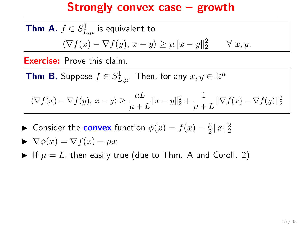**Thm A.** 
$$
f \in S^1_{L,\mu}
$$
 is equivalent to  
\n $\langle \nabla f(x) - \nabla f(y), x - y \rangle \ge \mu ||x - y||_2^2 \quad \forall x, y.$ 

Exercise: Prove this claim.

**Thm B.** Suppose  $f \in S^1_{L,\mu}$ . Then, for any  $x,y \in \mathbb{R}^n$  $\langle \nabla f(x) - \nabla f(y), x - y \rangle \ge \frac{\mu L}{\mu + L} ||x - y||_2^2 + \frac{1}{\mu + L}$  $\frac{1}{\mu+L} \|\nabla f(x) - \nabla f(y)\|_2^2$ 

► Consider the **convex** function  $\phi(x) = f(x) - \frac{\mu}{2}$  $\frac{\mu}{2}||x||_2^2$ 

$$
\blacktriangleright \nabla \phi(x) = \nabla f(x) - \mu x
$$

If  $\mu = L$ , then easily true (due to Thm. A and Coroll. 2)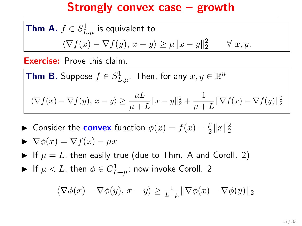**Thm A.** 
$$
f \in S^1_{L,\mu}
$$
 is equivalent to  
\n $\langle \nabla f(x) - \nabla f(y), x - y \rangle \ge \mu ||x - y||_2^2 \quad \forall x, y.$ 

Exercise: Prove this claim.

**Thm B.** Suppose  $f \in S^1_{L,\mu}$ . Then, for any  $x,y \in \mathbb{R}^n$  $\langle \nabla f(x) - \nabla f(y), x - y \rangle \ge \frac{\mu L}{\mu + L} ||x - y||_2^2 + \frac{1}{\mu + L}$  $\frac{1}{\mu+L} \|\nabla f(x) - \nabla f(y)\|_2^2$ 

► Consider the **convex** function  $\phi(x) = f(x) - \frac{\mu}{2}$  $\frac{\mu}{2}||x||_2^2$ 

$$
\blacktriangleright \nabla \phi(x) = \nabla f(x) - \mu x
$$

If  $\mu = L$ , then easily true (due to Thm. A and Coroll. 2)

► If  $\mu < L$ , then  $\phi \in C^1_{L-\mu}$ ; now invoke Coroll. 2

$$
\langle \nabla \phi(x) - \nabla \phi(y), x - y \rangle \ge \frac{1}{L - \mu} \|\nabla \phi(x) - \nabla \phi(y)\|_2
$$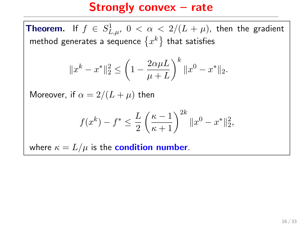**Theorem.** If  $f \in S^1_{L,\mu}$ ,  $0 < \alpha < 2/(L + \mu)$ , then the gradient method generates a sequence  $\{x^k\}$  that satisfies

$$
||x^{k} - x^{*}||_{2}^{2} \le \left(1 - \frac{2\alpha\mu L}{\mu + L}\right)^{k} ||x^{0} - x^{*}||_{2}.
$$

Moreover, if  $\alpha = 2/(L + \mu)$  then

$$
f(x^{k}) - f^* \le \frac{L}{2} \left(\frac{\kappa - 1}{\kappa + 1}\right)^{2k} \|x^0 - x^*\|_2^2,
$$

where  $\kappa = L/\mu$  is the **condition number**.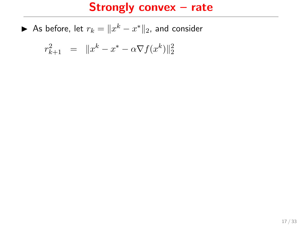$$
r_{k+1}^2 = ||x^k - x^* - \alpha \nabla f(x^k)||_2^2
$$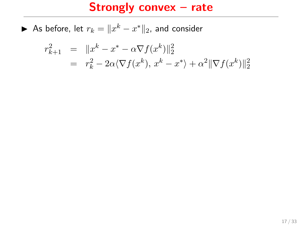$$
r_{k+1}^2 = ||x^k - x^* - \alpha \nabla f(x^k)||_2^2
$$
  
=  $r_k^2 - 2\alpha \langle \nabla f(x^k), x^k - x^* \rangle + \alpha^2 ||\nabla f(x^k)||_2^2$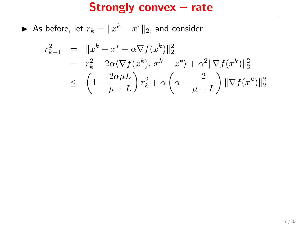$$
r_{k+1}^2 = \|x^k - x^* - \alpha \nabla f(x^k)\|_2^2
$$
  
=  $r_k^2 - 2\alpha \langle \nabla f(x^k), x^k - x^* \rangle + \alpha^2 \|\nabla f(x^k)\|_2^2$   
 $\leq \left(1 - \frac{2\alpha \mu L}{\mu + L}\right) r_k^2 + \alpha \left(\alpha - \frac{2}{\mu + L}\right) \|\nabla f(x^k)\|_2^2$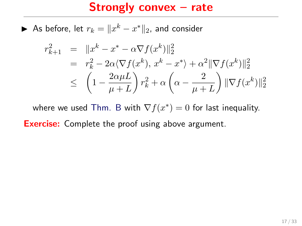▶ As before, let  $r_k = ||x^k - x^*||_2$ , and consider

$$
r_{k+1}^2 = ||x^k - x^* - \alpha \nabla f(x^k)||_2^2
$$
  
=  $r_k^2 - 2\alpha \langle \nabla f(x^k), x^k - x^* \rangle + \alpha^2 ||\nabla f(x^k)||_2^2$   
 $\leq \left(1 - \frac{2\alpha \mu L}{\mu + L}\right) r_k^2 + \alpha \left(\alpha - \frac{2}{\mu + L}\right) ||\nabla f(x^k)||_2^2$ 

where we used Thm. B with  $\nabla f(x^*) = 0$  for last inequality.

**Exercise:** Complete the proof using above argument.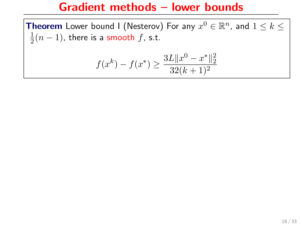**Theorem** Lower bound I (Nesterov) For any  $x^0 \in \mathbb{R}^n$ , and  $1 \leq k \leq$ 1  $\frac{1}{2}(n-1)$ , there is a smooth  $f$ , s.t.

$$
f(x^{k}) - f(x^{*}) \ge \frac{3L||x^{0} - x^{*}||_{2}^{2}}{32(k+1)^{2}}
$$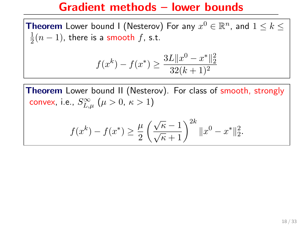**Theorem** Lower bound I (Nesterov) For any  $x^0 \in \mathbb{R}^n$ , and  $1 \leq k \leq$ 1  $\frac{1}{2}(n-1)$ , there is a smooth  $f$ , s.t.

$$
f(x^{k}) - f(x^{*}) \ge \frac{3L||x^{0} - x^{*}||_{2}^{2}}{32(k+1)^{2}}
$$

Theorem Lower bound II (Nesterov). For class of smooth, strongly convex, i.e.,  $S_{L,\mu}^{\infty}\,\left(\mu>0,\,\kappa>1\right)$ 

$$
f(x^{k}) - f(x^{*}) \ge \frac{\mu}{2} \left( \frac{\sqrt{\kappa} - 1}{\sqrt{\kappa} + 1} \right)^{2k} \|x^{0} - x^{*}\|_{2}^{2}.
$$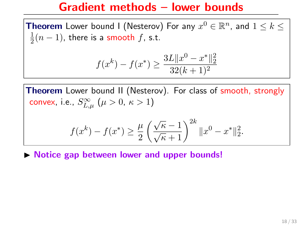**Theorem** Lower bound I (Nesterov) For any  $x^0 \in \mathbb{R}^n$ , and  $1 \leq k \leq$ 1  $\frac{1}{2}(n-1)$ , there is a smooth  $f$ , s.t.

$$
f(x^{k}) - f(x^{*}) \ge \frac{3L||x^{0} - x^{*}||_{2}^{2}}{32(k+1)^{2}}
$$

Theorem Lower bound II (Nesterov). For class of smooth, strongly convex, i.e.,  $S_{L,\mu}^{\infty}\,\left(\mu>0,\,\kappa>1\right)$ 

$$
f(x^{k}) - f(x^{*}) \ge \frac{\mu}{2} \left( \frac{\sqrt{\kappa} - 1}{\sqrt{\kappa} + 1} \right)^{2k} \|x^{0} - x^{*}\|_{2}^{2}.
$$

 $\triangleright$  Notice gap between lower and upper bounds!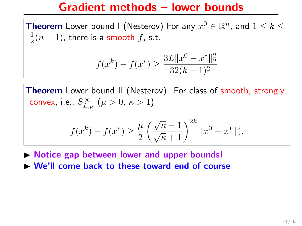**Theorem** Lower bound I (Nesterov) For any  $x^0 \in \mathbb{R}^n$ , and  $1 \leq k \leq$ 1  $\frac{1}{2}(n-1)$ , there is a smooth  $f$ , s.t.

$$
f(x^{k}) - f(x^{*}) \ge \frac{3L||x^{0} - x^{*}||_{2}^{2}}{32(k+1)^{2}}
$$

Theorem Lower bound II (Nesterov). For class of smooth, strongly convex, i.e.,  $S_{L,\mu}^{\infty}\,\left(\mu>0,\,\kappa>1\right)$ 

$$
f(x^{k}) - f(x^{*}) \ge \frac{\mu}{2} \left( \frac{\sqrt{\kappa} - 1}{\sqrt{\kappa} + 1} \right)^{2k} \|x^{0} - x^{*}\|_{2}^{2}.
$$

 $\triangleright$  Notice gap between lower and upper bounds!

 $\triangleright$  We'll come back to these toward end of course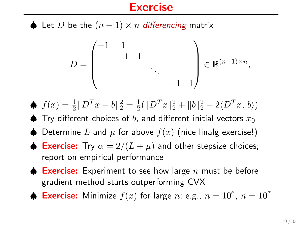#### **Exercise**

♦ Let D be the  $(n-1) \times n$  differencing matrix

$$
D = \begin{pmatrix} -1 & 1 & & & \\ & -1 & 1 & & \\ & & \ddots & \\ & & & -1 & 1 \end{pmatrix} \in \mathbb{R}^{(n-1)\times n},
$$

- $\oint f(x) = \frac{1}{2} ||D^T x b||_2^2 = \frac{1}{2}$  $\frac{1}{2}(\|D^Tx\|_2^2 + \|b\|_2^2 - 2\langle D^Tx, b\rangle)$
- $\spadesuit$  Try different choices of b, and different initial vectors  $x_0$
- ♦ Determine L and  $\mu$  for above  $f(x)$  (nice linalg exercise!)
- **Exercise:** Try  $\alpha = 2/(L + \mu)$  and other stepsize choices; report on empirical performance
- $\spadesuit$  Exercise: Experiment to see how large n must be before gradient method starts outperforming CVX

♦ Exercise: Minimize  $f(x)$  for large *n*; e.g.,  $n = 10^6$ ,  $n = 10^7$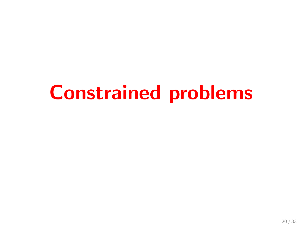# Constrained problems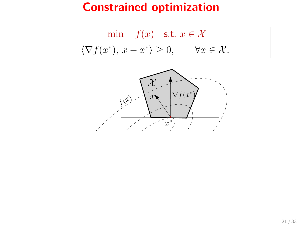# Constrained optimization

$$
\min f(x) \quad \text{s.t. } x \in \mathcal{X}
$$

$$
\langle \nabla f(x^*), x - x^* \rangle \ge 0, \qquad \forall x \in \mathcal{X}.
$$

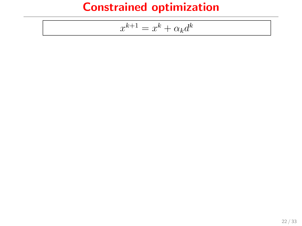# Constrained optimization

$$
x^{k+1} = x^k + \alpha_k d^k
$$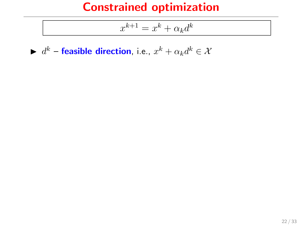$$
x^{k+1} = x^k + \alpha_k d^k
$$

 $\blacktriangleright d^k$  – feasible direction, i.e.,  $x^k + \alpha_k d^k \in \mathcal{X}$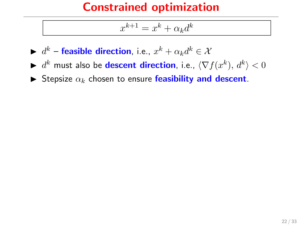$$
x^{k+1} = x^k + \alpha_k d^k
$$

- $\blacktriangleright d^k$  feasible direction, i.e.,  $x^k + \alpha_k d^k \in \mathcal{X}$
- ►  $d^k$  must also be **descent direction**, i.e.,  $\langle \nabla f(x^k), d^k \rangle < 0$
- $\blacktriangleright$  Stepsize  $\alpha_k$  chosen to ensure feasibility and descent.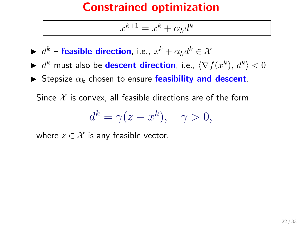$$
x^{k+1} = x^k + \alpha_k d^k
$$

- $\blacktriangleright d^k$  feasible direction, i.e.,  $x^k + \alpha_k d^k \in \mathcal{X}$
- ►  $d^k$  must also be **descent direction**, i.e.,  $\langle \nabla f(x^k), d^k \rangle < 0$
- $\blacktriangleright$  Stepsize  $\alpha_k$  chosen to ensure feasibility and descent.

Since  $\mathcal X$  is convex, all feasible directions are of the form

$$
d^k = \gamma(z - x^k), \quad \gamma > 0,
$$

where  $z \in \mathcal{X}$  is any feasible vector.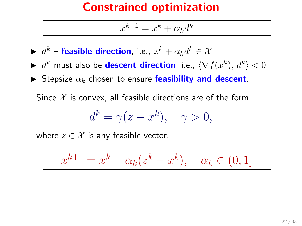$$
x^{k+1} = x^k + \alpha_k d^k
$$

- $\blacktriangleright d^k$  feasible direction, i.e.,  $x^k + \alpha_k d^k \in \mathcal{X}$
- ►  $d^k$  must also be **descent direction**, i.e.,  $\langle \nabla f(x^k), d^k \rangle < 0$
- $\blacktriangleright$  Stepsize  $\alpha_k$  chosen to ensure feasibility and descent.

Since  $\mathcal X$  is convex, all feasible directions are of the form

$$
d^k = \gamma(z - x^k), \quad \gamma > 0,
$$

where  $z \in \mathcal{X}$  is any feasible vector.

$$
x^{k+1} = x^k + \alpha_k (z^k - x^k), \quad \alpha_k \in (0, 1]
$$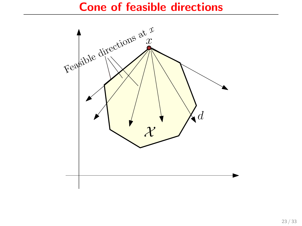#### Cone of feasible directions

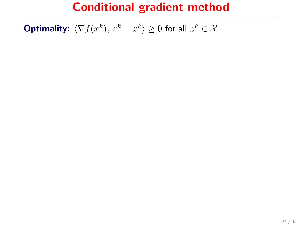**Optimality:**  $\langle \nabla f(x^k), z^k - x^k \rangle \ge 0$  for all  $z^k \in \mathcal{X}$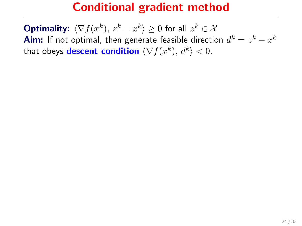**Optimality:**  $\langle \nabla f(x^k), z^k - x^k \rangle \ge 0$  for all  $z^k \in \mathcal{X}$ **Aim:** If not optimal, then generate feasible direction  $d^k = z^k - x^k$ that obeys **descent condition**  $\langle \nabla f(x^k), d^k \rangle < 0$ .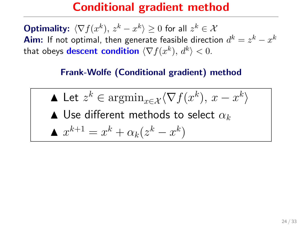**Optimality:**  $\langle \nabla f(x^k), z^k - x^k \rangle \ge 0$  for all  $z^k \in \mathcal{X}$ **Aim:** If not optimal, then generate feasible direction  $d^k = z^k - x^k$ that obeys **descent condition**  $\langle \nabla f(x^k), d^k \rangle < 0$ .

#### Frank-Wolfe (Conditional gradient) method

\n- \n
$$
\blacktriangle
$$
 Let  $z^k \in \operatorname{argmin}_{x \in \mathcal{X}} \langle \nabla f(x^k), x - x^k \rangle$ \n
\n- \n $\blacktriangle$  Use different methods to select  $\alpha_k$ \n
\n- \n $x^{k+1} = x^k + \alpha_k (z^k - x^k)$ \n
\n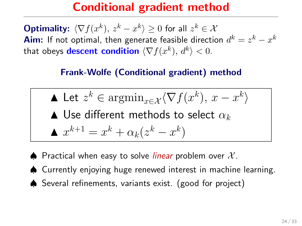**Optimality:**  $\langle \nabla f(x^k), z^k - x^k \rangle \ge 0$  for all  $z^k \in \mathcal{X}$ **Aim:** If not optimal, then generate feasible direction  $d^k = z^k - x^k$ that obeys **descent condition**  $\langle \nabla f(x^k), d^k \rangle < 0$ .

#### Frank-Wolfe (Conditional gradient) method

\n- \n
$$
\blacktriangle
$$
 Let  $z^k \in \operatorname{argmin}_{x \in \mathcal{X}} \langle \nabla f(x^k), x - x^k \rangle$ \n
\n- \n $\blacktriangle$  Use different methods to select  $\alpha_k$ \n
\n- \n $x^{k+1} = x^k + \alpha_k (z^k - x^k)$ \n
\n

- $\spadesuit$  Practical when easy to solve *linear* problem over  $\mathcal{X}$ .
- ♠ Currently enjoying huge renewed interest in machine learning.
- ♠ Several refinements, variants exist. (good for project)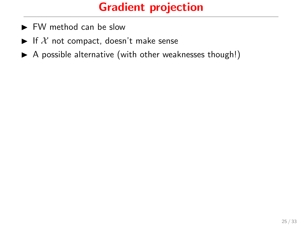## Gradient projection

- $\blacktriangleright$  FW method can be slow
- If  $X$  not compact, doesn't make sense
- $\triangleright$  A possible alternative (with other weaknesses though!)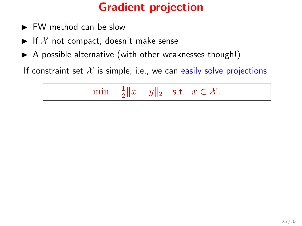## Gradient projection

- $\blacktriangleright$  FW method can be slow
- If X not compact, doesn't make sense
- $\triangleright$  A possible alternative (with other weaknesses though!)

If constraint set  $X$  is simple, i.e., we can easily solve projections

min <sup>1</sup>  $\frac{1}{2}||x-y||_2$  s.t.  $x \in \mathcal{X}$ .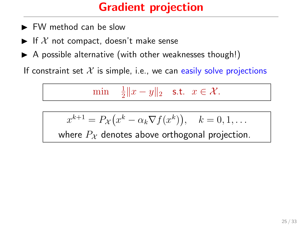## Gradient projection

- $\blacktriangleright$  FW method can be slow
- If X not compact, doesn't make sense
- $\triangleright$  A possible alternative (with other weaknesses though!)

If constraint set  $\mathcal X$  is simple, i.e., we can easily solve projections

min <sup>1</sup>  $\frac{1}{2}||x-y||_2$  s.t.  $x \in \mathcal{X}$ .

$$
x^{k+1} = P_{\mathcal{X}}(x^k - \alpha_k \nabla f(x^k)), \quad k = 0, 1, \dots
$$

where  $P_X$  denotes above orthogonal projection.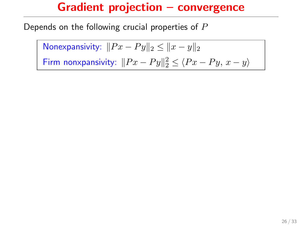Depends on the following crucial properties of  $P$ 

Nonexpansivity:  $||Px - Py||_2 \le ||x - y||_2$ Firm nonxpansivity:  $||Px - Py||_2^2 \le \langle Px - Py, x - y \rangle$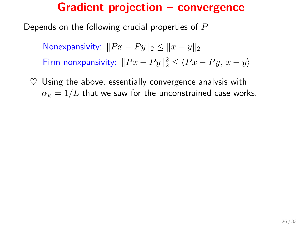Depends on the following crucial properties of  $P$ 

Nonexpansivity:  $||Px - Py||_2 \le ||x - y||_2$ Firm nonxpansivity:  $||Px - Py||_2^2 \le \langle Px - Py, x - y \rangle$ 

 $\heartsuit$  Using the above, essentially convergence analysis with  $\alpha_k = 1/L$  that we saw for the unconstrained case works.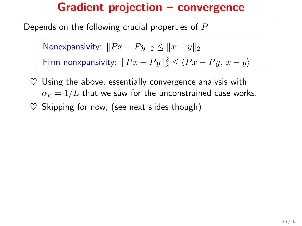Depends on the following crucial properties of  $P$ 

Nonexpansivity:  $||Px - Py||_2 \le ||x - y||_2$ Firm nonxpansivity:  $||Px - Py||_2^2 \le \langle Px - Py, x - y \rangle$ 

- $\heartsuit$  Using the above, essentially convergence analysis with  $\alpha_k = 1/L$  that we saw for the unconstrained case works.
- $\heartsuit$  Skipping for now; (see next slides though)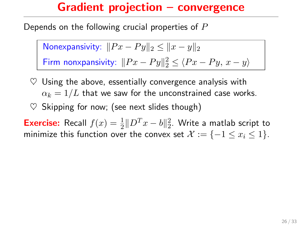Depends on the following crucial properties of  $P$ 

Nonexpansivity:  $||Px - Py||_2 \le ||x - y||_2$ Firm nonxpansivity:  $||Px - Py||_2^2 \le \langle Px - Py, x - y \rangle$ 

- $\heartsuit$  Using the above, essentially convergence analysis with  $\alpha_k = 1/L$  that we saw for the unconstrained case works.
- $\heartsuit$  Skipping for now; (see next slides though)

**Exercise:** Recall  $f(x) = \frac{1}{2} ||D^T x - b||_2^2$ . Write a matlab script to minimize this function over the convex set  $\mathcal{X} := \{-1 \le x_i \le 1\}$ .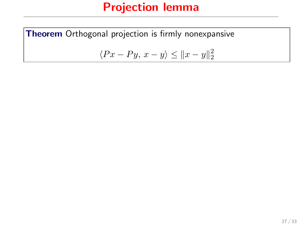Theorem Orthogonal projection is firmly nonexpansive

$$
\langle Px - Py, x - y \rangle \le ||x - y||_2^2
$$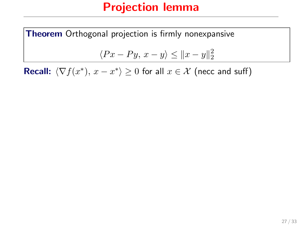Theorem Orthogonal projection is firmly nonexpansive

$$
\langle Px - Py, x - y \rangle \le ||x - y||_2^2
$$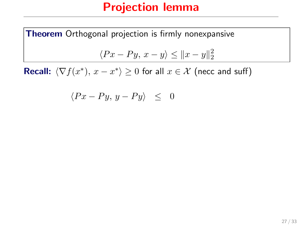Theorem Orthogonal projection is firmly nonexpansive

$$
\langle Px - Py, x - y \rangle \le ||x - y||_2^2
$$

$$
\langle Px - Py, y - Py \rangle \leq 0
$$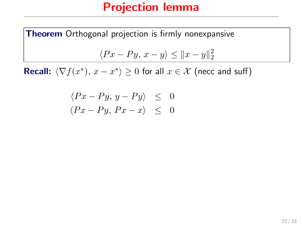Theorem Orthogonal projection is firmly nonexpansive  $\langle Px - Py, x - y \rangle \le ||x - y||_2^2$ 

$$
\langle Px - Py, y - Py \rangle \leq 0
$$
  

$$
\langle Px - Py, Px - x \rangle \leq 0
$$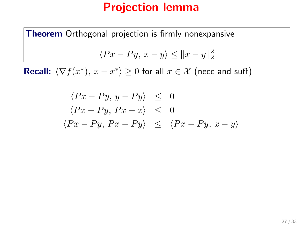Theorem Orthogonal projection is firmly nonexpansive  $\langle Px - Py, x - y \rangle \le ||x - y||_2^2$ 

$$
\langle Px - Py, y - Py \rangle \leq 0
$$
  

$$
\langle Px - Py, Px - x \rangle \leq 0
$$
  

$$
\langle Px - Py, Px - Py \rangle \leq \langle Px - Py, x - y \rangle
$$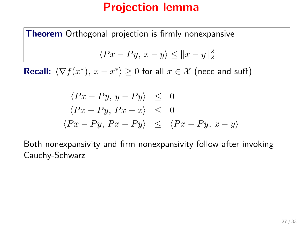**Theorem** Orthogonal projection is firmly nonexpansive

$$
\langle Px - Py, x - y \rangle \le ||x - y||_2^2
$$

**Recall:**  $\langle \nabla f(x^*), x - x^* \rangle \ge 0$  for all  $x \in \mathcal{X}$  (necc and suff)

$$
\langle Px - Py, y - Py \rangle \leq 0
$$
  

$$
\langle Px - Py, Px - x \rangle \leq 0
$$
  

$$
\langle Px - Py, Px - Py \rangle \leq \langle Px - Py, x - y \rangle
$$

Both nonexpansivity and firm nonexpansivity follow after invoking Cauchy-Schwarz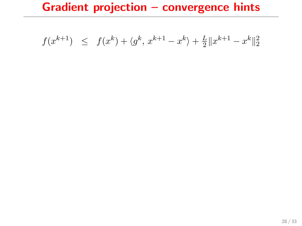$$
f(x^{k+1}) \leq f(x^k) + \langle g^k, x^{k+1} - x^k \rangle + \frac{L}{2} ||x^{k+1} - x^k||_2^2
$$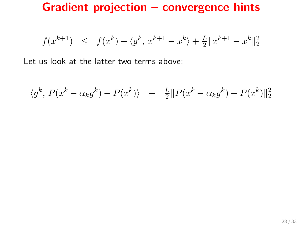$$
f(x^{k+1}) \leq f(x^k) + \langle g^k, x^{k+1} - x^k \rangle + \frac{L}{2} ||x^{k+1} - x^k||_2^2
$$

$$
\langle g^k, P(x^k - \alpha_k g^k) - P(x^k) \rangle + \frac{L}{2} || P(x^k - \alpha_k g^k) - P(x^k) ||_2^2
$$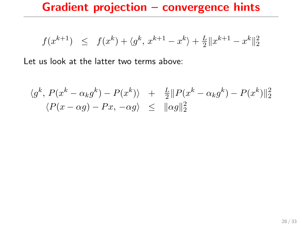$$
f(x^{k+1}) \leq f(x^k) + \langle g^k, x^{k+1} - x^k \rangle + \frac{L}{2} ||x^{k+1} - x^k||_2^2
$$

$$
\langle g^k, P(x^k - \alpha_k g^k) - P(x^k) \rangle + \frac{L}{2} ||P(x^k - \alpha_k g^k) - P(x^k)||_2^2
$$
  

$$
\langle P(x - \alpha g) - Px, -\alpha g \rangle \le ||\alpha g||_2^2
$$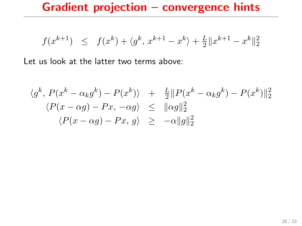$$
f(x^{k+1}) \leq f(x^k) + \langle g^k, x^{k+1} - x^k \rangle + \frac{L}{2} ||x^{k+1} - x^k||_2^2
$$

$$
\langle g^k, P(x^k - \alpha_k g^k) - P(x^k) \rangle + \frac{L}{2} ||P(x^k - \alpha_k g^k) - P(x^k) ||_2^2
$$
  

$$
\langle P(x - \alpha g) - Px, -\alpha g \rangle \le ||\alpha g||_2^2
$$
  

$$
\langle P(x - \alpha g) - Px, g \rangle \ge -\alpha ||g||_2^2
$$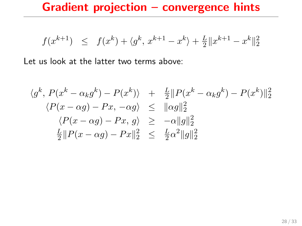$$
f(x^{k+1}) \leq f(x^k) + \langle g^k, x^{k+1} - x^k \rangle + \frac{L}{2} ||x^{k+1} - x^k||_2^2
$$

$$
\langle g^k, P(x^k - \alpha_k g^k) - P(x^k) \rangle + \frac{L}{2} ||P(x^k - \alpha_k g^k) - P(x^k) ||_2^2
$$
  

$$
\langle P(x - \alpha g) - Px, -\alpha g \rangle \le ||\alpha g||_2^2
$$
  

$$
\langle P(x - \alpha g) - Px, g \rangle \ge -\alpha ||g||_2^2
$$
  

$$
\frac{L}{2} ||P(x - \alpha g) - Px||_2^2 \le \frac{L}{2} \alpha^2 ||g||_2^2
$$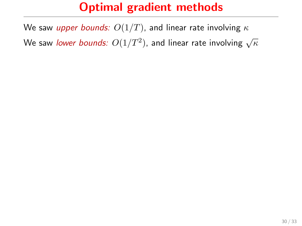We saw upper bounds:  $O(1/T)$ , and linear rate involving  $\kappa$ We saw *lower bounds:*  $O(1/T^2)$ *,* and linear rate involving  $\sqrt{\kappa}$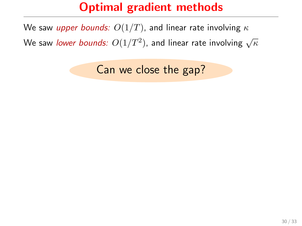We saw upper bounds:  $O(1/T)$ , and linear rate involving  $\kappa$ We saw *lower bounds:*  $O(1/T^2)$ *,* and linear rate involving  $\sqrt{\kappa}$ 

Can we close the gap?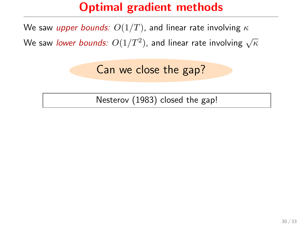We saw upper bounds:  $O(1/T)$ , and linear rate involving  $\kappa$ 

We saw *lower bounds:*  $O(1/T^2)$ *,* and linear rate involving  $\sqrt{\kappa}$ 

Can we close the gap?

Nesterov (1983) closed the gap!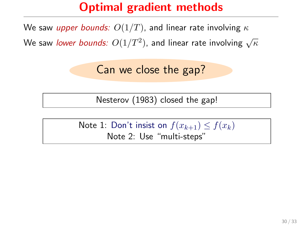We saw upper bounds:  $O(1/T)$ , and linear rate involving  $\kappa$ 

We saw *lower bounds:*  $O(1/T^2)$ *,* and linear rate involving  $\sqrt{\kappa}$ 

Can we close the gap?

Nesterov (1983) closed the gap!

Note 1: Don't insist on  $f(x_{k+1}) \leq f(x_k)$ Note 2: Use "multi-steps"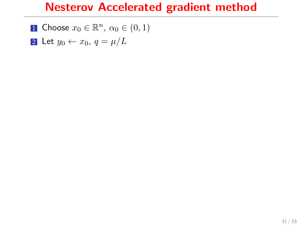$$
\blacksquare \text{ Choose } x_0 \in \mathbb{R}^n, \, \alpha_0 \in (0,1)
$$

2 Let  $y_0 \leftarrow x_0, q = \mu/L$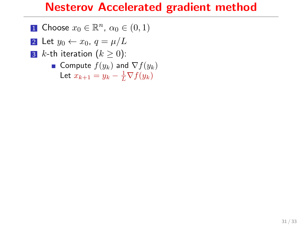$$
\blacksquare \text{ Choose } x_0 \in \mathbb{R}^n, \, \alpha_0 \in (0,1)
$$

$$
\boxed{\mathbf{2}} \ \mathsf{Let} \ y_0 \leftarrow x_0, \ q = \mu/L
$$

3 *k*-th iteration  $(k \ge 0)$ :

■ Compute 
$$
f(y_k)
$$
 and  $\nabla f(y_k)$   
Let  $x_{k+1} = y_k - \frac{1}{L} \nabla f(y_k)$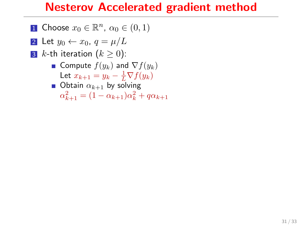$$
\blacksquare \text{ Choose } x_0 \in \mathbb{R}^n, \, \alpha_0 \in (0,1)
$$

- 2 Let  $y_0 \leftarrow x_0, q = \mu/L$
- 3 *k*-th iteration  $(k \geq 0)$ :
	- Compute  $f(y_k)$  and  $\nabla f(y_k)$ Let  $x_{k+1} = y_k - \frac{1}{L} \nabla f(y_k)$
	- **Obtain**  $\alpha_{k+1}$  by solving  $\alpha_{k+1}^2 = (1 - \alpha_{k+1})\alpha_k^2 + q\alpha_{k+1}$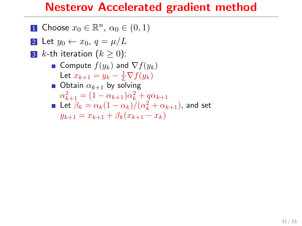$$
\blacksquare \text{ Choose } x_0 \in \mathbb{R}^n, \, \alpha_0 \in (0,1)
$$

- 2 Let  $y_0 \leftarrow x_0$ ,  $q = \mu/L$
- **3** k-th iteration  $(k > 0)$ :
	- Compute  $f(y_k)$  and  $\nabla f(y_k)$ Let  $x_{k+1} = y_k - \frac{1}{L} \nabla f(y_k)$
	- Obtain  $\alpha_{k+1}$  by solving  $\alpha_{k+1}^2 = (1 - \alpha_{k+1})\alpha_k^2 + q\alpha_{k+1}$ Let  $\beta_k = \alpha_k(1-\alpha_k)/(\alpha_k^2+\alpha_{k+1})$ , and set  $y_{k+1} = x_{k+1} + \beta_k (x_{k+1} - x_k)$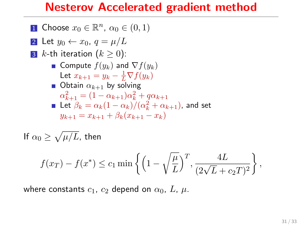#### Nesterov Accelerated gradient method

\n- **1** Choose 
$$
x_0 \in \mathbb{R}^n
$$
,  $\alpha_0 \in (0, 1)$
\n- **2** Let  $y_0 \leftarrow x_0$ ,  $q = \mu/L$
\n- **3**  $k$ -th iteration  $(k \geq 0)$ :
\n- **a** Compute  $f(y_k)$  and  $\nabla f(y_k)$
\n- **b** Let  $x_{k+1} = y_k - \frac{1}{L} \nabla f(y_k)$
\n- **b** Obtain  $\alpha_{k+1}$  by solving  $\alpha_{k+1}^2 = (1 - \alpha_{k+1})\alpha_k^2 + q\alpha_{k+1}$
\n- **c** Let  $\beta_k = \alpha_k(1 - \alpha_k)/(\alpha_k^2 + \alpha_{k+1})$ , and set  $y_{k+1} = x_{k+1} + \beta_k(x_{k+1} - x_k)$
\n

If  $\alpha_0 \ge \sqrt{\mu/L}$ , then

$$
f(x_T) - f(x^*) \le c_1 \min \left\{ \left( 1 - \sqrt{\frac{\mu}{L}} \right)^T, \frac{4L}{(2\sqrt{L} + c_2 T)^2} \right\},\,
$$

where constants  $c_1$ ,  $c_2$  depend on  $\alpha_0$ ,  $L$ ,  $\mu$ .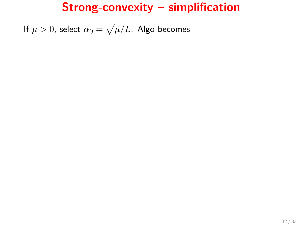### Strong-convexity – simplification

If  $\mu>0$ , select  $\alpha_0=\sqrt{\mu/L}$ . Algo becomes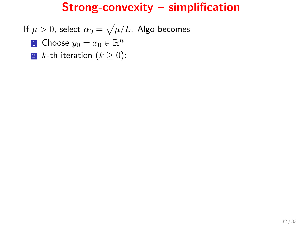# Strong-convexity – simplification

If  $\mu>0$ , select  $\alpha_0=\sqrt{\mu/L}$ . Algo becomes

- **1** Choose  $y_0 = x_0 \in \mathbb{R}^n$
- 2 *k*-th iteration  $(k \ge 0)$ :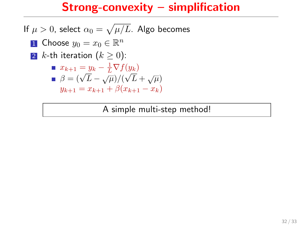# Strong-convexity – simplification

If  $\mu>0$ , select  $\alpha_0=\sqrt{\mu/L}$ . Algo becomes

**1** Choose  $y_0 = x_0 \in \mathbb{R}^n$ 2 *k*-th iteration  $(k \ge 0)$ :

$$
\begin{aligned} \blacksquare \ x_{k+1} &= y_k - \frac{1}{L} \nabla f(y_k) \\ \blacksquare \ \beta &= (\sqrt{L} - \sqrt{\mu}) / (\sqrt{L} + \sqrt{\mu}) \\ y_{k+1} &= x_{k+1} + \beta (x_{k+1} - x_k) \end{aligned}
$$

A simple multi-step method!